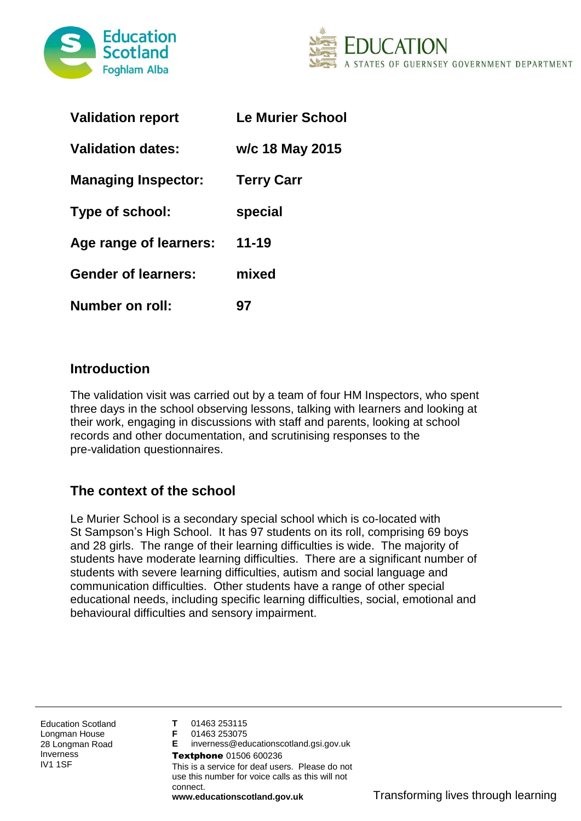



| <b>Validation report</b>   | <b>Le Murier School</b> |
|----------------------------|-------------------------|
| <b>Validation dates:</b>   | w/c 18 May 2015         |
| <b>Managing Inspector:</b> | <b>Terry Carr</b>       |
| Type of school:            | special                 |
| Age range of learners:     | $11 - 19$               |
| <b>Gender of learners:</b> | mixed                   |
| Number on roll:            | 97                      |

### **Introduction**

The validation visit was carried out by a team of four HM Inspectors, who spent three days in the school observing lessons, talking with learners and looking at their work, engaging in discussions with staff and parents, looking at school records and other documentation, and scrutinising responses to the pre-validation questionnaires.

# **The context of the school**

Le Murier School is a secondary special school which is co-located with St Sampson's High School. It has 97 students on its roll, comprising 69 boys and 28 girls. The range of their learning difficulties is wide. The majority of students have moderate learning difficulties. There are a significant number of students with severe learning difficulties, autism and social language and communication difficulties. Other students have a range of other special educational needs, including specific learning difficulties, social, emotional and behavioural difficulties and sensory impairment.

Education Scotland Longman House 28 Longman Road Inverness IV1 1SF

**T** 01463 253115

**F** 01463 253075

**E** inverness@educationscotland.gsi.gov.uk Textphone 01506 600236 This is a service for deaf users. Please do not use this number for voice calls as this will not connect.

**www.educationscotland.gov.uk** Transforming lives through learning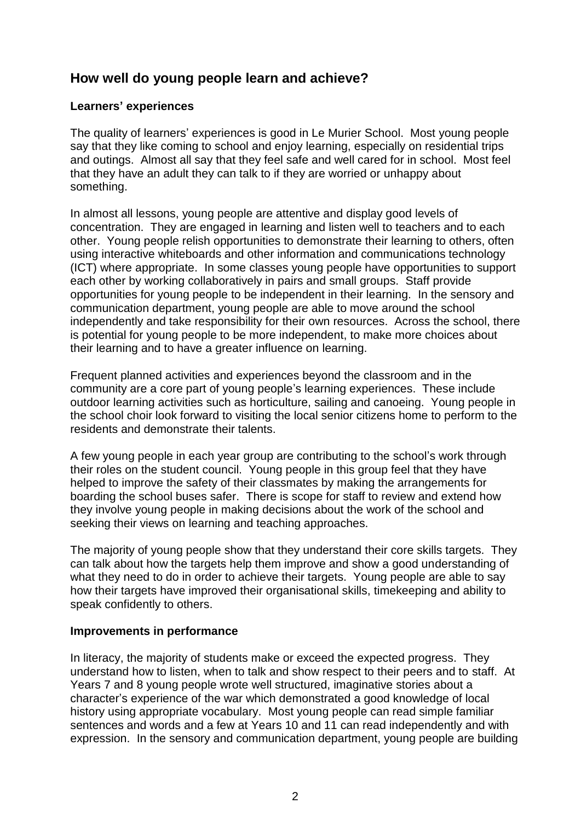### **How well do young people learn and achieve?**

### **Learners' experiences**

The quality of learners' experiences is good in Le Murier School. Most young people say that they like coming to school and enjoy learning, especially on residential trips and outings. Almost all say that they feel safe and well cared for in school. Most feel that they have an adult they can talk to if they are worried or unhappy about something.

In almost all lessons, young people are attentive and display good levels of concentration. They are engaged in learning and listen well to teachers and to each other. Young people relish opportunities to demonstrate their learning to others, often using interactive whiteboards and other information and communications technology (ICT) where appropriate. In some classes young people have opportunities to support each other by working collaboratively in pairs and small groups. Staff provide opportunities for young people to be independent in their learning. In the sensory and communication department, young people are able to move around the school independently and take responsibility for their own resources. Across the school, there is potential for young people to be more independent, to make more choices about their learning and to have a greater influence on learning.

Frequent planned activities and experiences beyond the classroom and in the community are a core part of young people's learning experiences. These include outdoor learning activities such as horticulture, sailing and canoeing. Young people in the school choir look forward to visiting the local senior citizens home to perform to the residents and demonstrate their talents.

A few young people in each year group are contributing to the school's work through their roles on the student council. Young people in this group feel that they have helped to improve the safety of their classmates by making the arrangements for boarding the school buses safer. There is scope for staff to review and extend how they involve young people in making decisions about the work of the school and seeking their views on learning and teaching approaches.

The majority of young people show that they understand their core skills targets. They can talk about how the targets help them improve and show a good understanding of what they need to do in order to achieve their targets. Young people are able to say how their targets have improved their organisational skills, timekeeping and ability to speak confidently to others.

#### **Improvements in performance**

In literacy, the majority of students make or exceed the expected progress. They understand how to listen, when to talk and show respect to their peers and to staff. At Years 7 and 8 young people wrote well structured, imaginative stories about a character's experience of the war which demonstrated a good knowledge of local history using appropriate vocabulary. Most young people can read simple familiar sentences and words and a few at Years 10 and 11 can read independently and with expression. In the sensory and communication department, young people are building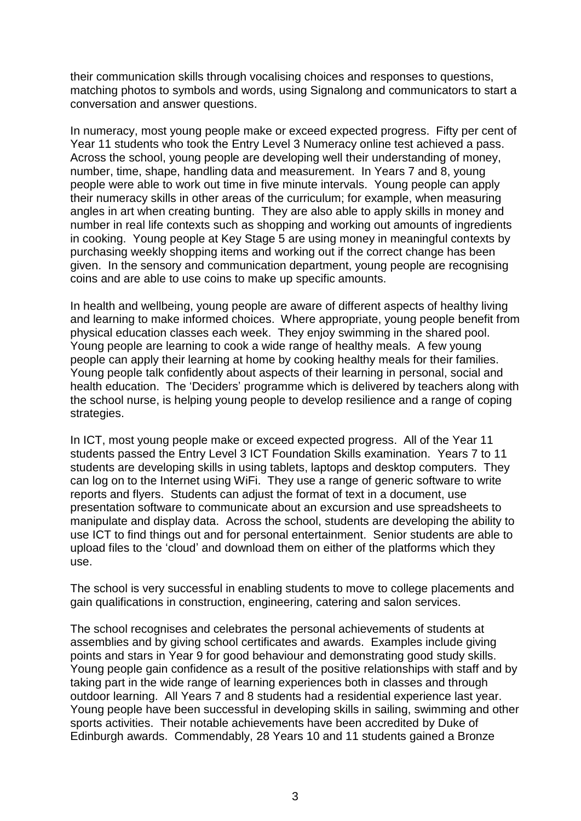their communication skills through vocalising choices and responses to questions, matching photos to symbols and words, using Signalong and communicators to start a conversation and answer questions.

In numeracy, most young people make or exceed expected progress. Fifty per cent of Year 11 students who took the Entry Level 3 Numeracy online test achieved a pass. Across the school, young people are developing well their understanding of money, number, time, shape, handling data and measurement. In Years 7 and 8, young people were able to work out time in five minute intervals. Young people can apply their numeracy skills in other areas of the curriculum; for example, when measuring angles in art when creating bunting. They are also able to apply skills in money and number in real life contexts such as shopping and working out amounts of ingredients in cooking. Young people at Key Stage 5 are using money in meaningful contexts by purchasing weekly shopping items and working out if the correct change has been given. In the sensory and communication department, young people are recognising coins and are able to use coins to make up specific amounts.

In health and wellbeing, young people are aware of different aspects of healthy living and learning to make informed choices. Where appropriate, young people benefit from physical education classes each week. They enjoy swimming in the shared pool. Young people are learning to cook a wide range of healthy meals. A few young people can apply their learning at home by cooking healthy meals for their families. Young people talk confidently about aspects of their learning in personal, social and health education. The 'Deciders' programme which is delivered by teachers along with the school nurse, is helping young people to develop resilience and a range of coping strategies.

In ICT, most young people make or exceed expected progress. All of the Year 11 students passed the Entry Level 3 ICT Foundation Skills examination. Years 7 to 11 students are developing skills in using tablets, laptops and desktop computers. They can log on to the Internet using WiFi. They use a range of generic software to write reports and flyers. Students can adjust the format of text in a document, use presentation software to communicate about an excursion and use spreadsheets to manipulate and display data. Across the school, students are developing the ability to use ICT to find things out and for personal entertainment. Senior students are able to upload files to the 'cloud' and download them on either of the platforms which they use.

The school is very successful in enabling students to move to college placements and gain qualifications in construction, engineering, catering and salon services.

The school recognises and celebrates the personal achievements of students at assemblies and by giving school certificates and awards. Examples include giving points and stars in Year 9 for good behaviour and demonstrating good study skills. Young people gain confidence as a result of the positive relationships with staff and by taking part in the wide range of learning experiences both in classes and through outdoor learning. All Years 7 and 8 students had a residential experience last year. Young people have been successful in developing skills in sailing, swimming and other sports activities. Their notable achievements have been accredited by Duke of Edinburgh awards. Commendably, 28 Years 10 and 11 students gained a Bronze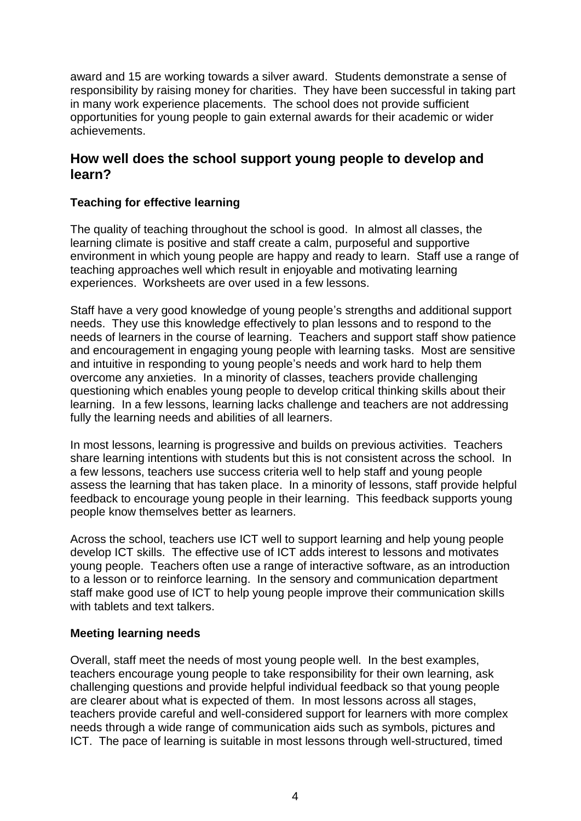award and 15 are working towards a silver award. Students demonstrate a sense of responsibility by raising money for charities. They have been successful in taking part in many work experience placements. The school does not provide sufficient opportunities for young people to gain external awards for their academic or wider achievements.

### **How well does the school support young people to develop and learn?**

### **Teaching for effective learning**

The quality of teaching throughout the school is good. In almost all classes, the learning climate is positive and staff create a calm, purposeful and supportive environment in which young people are happy and ready to learn. Staff use a range of teaching approaches well which result in enjoyable and motivating learning experiences. Worksheets are over used in a few lessons.

Staff have a very good knowledge of young people's strengths and additional support needs. They use this knowledge effectively to plan lessons and to respond to the needs of learners in the course of learning. Teachers and support staff show patience and encouragement in engaging young people with learning tasks. Most are sensitive and intuitive in responding to young people's needs and work hard to help them overcome any anxieties. In a minority of classes, teachers provide challenging questioning which enables young people to develop critical thinking skills about their learning. In a few lessons, learning lacks challenge and teachers are not addressing fully the learning needs and abilities of all learners.

In most lessons, learning is progressive and builds on previous activities. Teachers share learning intentions with students but this is not consistent across the school. In a few lessons, teachers use success criteria well to help staff and young people assess the learning that has taken place. In a minority of lessons, staff provide helpful feedback to encourage young people in their learning. This feedback supports young people know themselves better as learners.

Across the school, teachers use ICT well to support learning and help young people develop ICT skills. The effective use of ICT adds interest to lessons and motivates young people. Teachers often use a range of interactive software, as an introduction to a lesson or to reinforce learning. In the sensory and communication department staff make good use of ICT to help young people improve their communication skills with tablets and text talkers.

#### **Meeting learning needs**

Overall, staff meet the needs of most young people well. In the best examples, teachers encourage young people to take responsibility for their own learning, ask challenging questions and provide helpful individual feedback so that young people are clearer about what is expected of them. In most lessons across all stages, teachers provide careful and well-considered support for learners with more complex needs through a wide range of communication aids such as symbols, pictures and ICT. The pace of learning is suitable in most lessons through well-structured, timed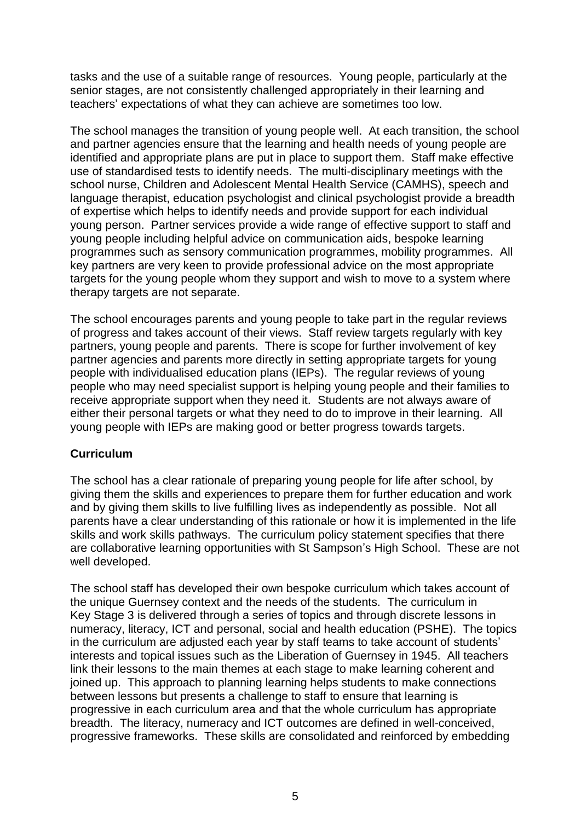tasks and the use of a suitable range of resources. Young people, particularly at the senior stages, are not consistently challenged appropriately in their learning and teachers' expectations of what they can achieve are sometimes too low.

The school manages the transition of young people well. At each transition, the school and partner agencies ensure that the learning and health needs of young people are identified and appropriate plans are put in place to support them. Staff make effective use of standardised tests to identify needs. The multi-disciplinary meetings with the school nurse, Children and Adolescent Mental Health Service (CAMHS), speech and language therapist, education psychologist and clinical psychologist provide a breadth of expertise which helps to identify needs and provide support for each individual young person. Partner services provide a wide range of effective support to staff and young people including helpful advice on communication aids, bespoke learning programmes such as sensory communication programmes, mobility programmes. All key partners are very keen to provide professional advice on the most appropriate targets for the young people whom they support and wish to move to a system where therapy targets are not separate.

The school encourages parents and young people to take part in the regular reviews of progress and takes account of their views. Staff review targets regularly with key partners, young people and parents. There is scope for further involvement of key partner agencies and parents more directly in setting appropriate targets for young people with individualised education plans (IEPs). The regular reviews of young people who may need specialist support is helping young people and their families to receive appropriate support when they need it. Students are not always aware of either their personal targets or what they need to do to improve in their learning. All young people with IEPs are making good or better progress towards targets.

#### **Curriculum**

The school has a clear rationale of preparing young people for life after school, by giving them the skills and experiences to prepare them for further education and work and by giving them skills to live fulfilling lives as independently as possible. Not all parents have a clear understanding of this rationale or how it is implemented in the life skills and work skills pathways. The curriculum policy statement specifies that there are collaborative learning opportunities with St Sampson's High School. These are not well developed.

The school staff has developed their own bespoke curriculum which takes account of the unique Guernsey context and the needs of the students. The curriculum in Key Stage 3 is delivered through a series of topics and through discrete lessons in numeracy, literacy, ICT and personal, social and health education (PSHE). The topics in the curriculum are adjusted each year by staff teams to take account of students' interests and topical issues such as the Liberation of Guernsey in 1945. All teachers link their lessons to the main themes at each stage to make learning coherent and joined up. This approach to planning learning helps students to make connections between lessons but presents a challenge to staff to ensure that learning is progressive in each curriculum area and that the whole curriculum has appropriate breadth. The literacy, numeracy and ICT outcomes are defined in well-conceived, progressive frameworks. These skills are consolidated and reinforced by embedding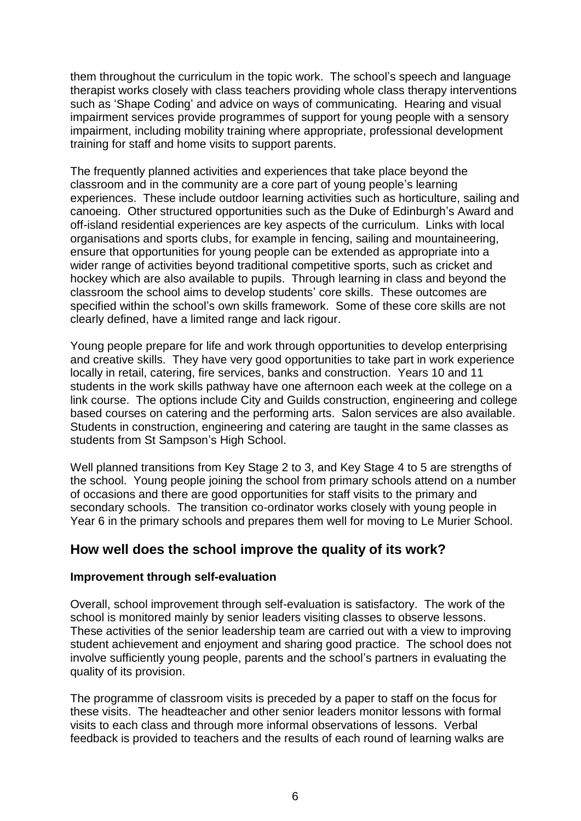them throughout the curriculum in the topic work. The school's speech and language therapist works closely with class teachers providing whole class therapy interventions such as 'Shape Coding' and advice on ways of communicating. Hearing and visual impairment services provide programmes of support for young people with a sensory impairment, including mobility training where appropriate, professional development training for staff and home visits to support parents.

The frequently planned activities and experiences that take place beyond the classroom and in the community are a core part of young people's learning experiences. These include outdoor learning activities such as horticulture, sailing and canoeing. Other structured opportunities such as the Duke of Edinburgh's Award and off-island residential experiences are key aspects of the curriculum. Links with local organisations and sports clubs, for example in fencing, sailing and mountaineering, ensure that opportunities for young people can be extended as appropriate into a wider range of activities beyond traditional competitive sports, such as cricket and hockey which are also available to pupils. Through learning in class and beyond the classroom the school aims to develop students' core skills. These outcomes are specified within the school's own skills framework. Some of these core skills are not clearly defined, have a limited range and lack rigour.

Young people prepare for life and work through opportunities to develop enterprising and creative skills. They have very good opportunities to take part in work experience locally in retail, catering, fire services, banks and construction. Years 10 and 11 students in the work skills pathway have one afternoon each week at the college on a link course. The options include City and Guilds construction, engineering and college based courses on catering and the performing arts. Salon services are also available. Students in construction, engineering and catering are taught in the same classes as students from St Sampson's High School.

Well planned transitions from Key Stage 2 to 3, and Key Stage 4 to 5 are strengths of the school. Young people joining the school from primary schools attend on a number of occasions and there are good opportunities for staff visits to the primary and secondary schools. The transition co-ordinator works closely with young people in Year 6 in the primary schools and prepares them well for moving to Le Murier School.

### **How well does the school improve the quality of its work?**

### **Improvement through self-evaluation**

Overall, school improvement through self-evaluation is satisfactory. The work of the school is monitored mainly by senior leaders visiting classes to observe lessons. These activities of the senior leadership team are carried out with a view to improving student achievement and enjoyment and sharing good practice. The school does not involve sufficiently young people, parents and the school's partners in evaluating the quality of its provision.

The programme of classroom visits is preceded by a paper to staff on the focus for these visits. The headteacher and other senior leaders monitor lessons with formal visits to each class and through more informal observations of lessons. Verbal feedback is provided to teachers and the results of each round of learning walks are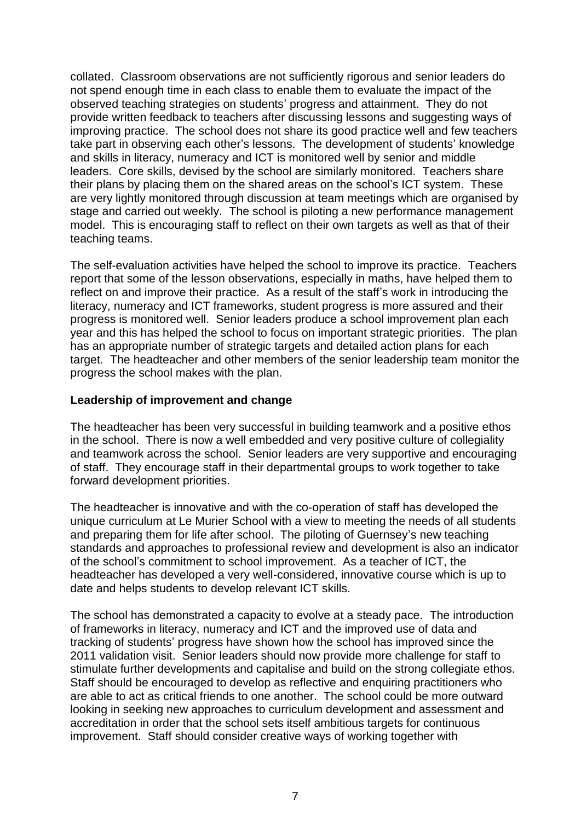collated. Classroom observations are not sufficiently rigorous and senior leaders do not spend enough time in each class to enable them to evaluate the impact of the observed teaching strategies on students' progress and attainment. They do not provide written feedback to teachers after discussing lessons and suggesting ways of improving practice. The school does not share its good practice well and few teachers take part in observing each other's lessons. The development of students' knowledge and skills in literacy, numeracy and ICT is monitored well by senior and middle leaders. Core skills, devised by the school are similarly monitored. Teachers share their plans by placing them on the shared areas on the school's ICT system. These are very lightly monitored through discussion at team meetings which are organised by stage and carried out weekly. The school is piloting a new performance management model. This is encouraging staff to reflect on their own targets as well as that of their teaching teams.

The self-evaluation activities have helped the school to improve its practice. Teachers report that some of the lesson observations, especially in maths, have helped them to reflect on and improve their practice. As a result of the staff's work in introducing the literacy, numeracy and ICT frameworks, student progress is more assured and their progress is monitored well. Senior leaders produce a school improvement plan each year and this has helped the school to focus on important strategic priorities. The plan has an appropriate number of strategic targets and detailed action plans for each target. The headteacher and other members of the senior leadership team monitor the progress the school makes with the plan.

#### **Leadership of improvement and change**

The headteacher has been very successful in building teamwork and a positive ethos in the school. There is now a well embedded and very positive culture of collegiality and teamwork across the school. Senior leaders are very supportive and encouraging of staff. They encourage staff in their departmental groups to work together to take forward development priorities.

The headteacher is innovative and with the co-operation of staff has developed the unique curriculum at Le Murier School with a view to meeting the needs of all students and preparing them for life after school. The piloting of Guernsey's new teaching standards and approaches to professional review and development is also an indicator of the school's commitment to school improvement. As a teacher of ICT, the headteacher has developed a very well-considered, innovative course which is up to date and helps students to develop relevant ICT skills.

The school has demonstrated a capacity to evolve at a steady pace. The introduction of frameworks in literacy, numeracy and ICT and the improved use of data and tracking of students' progress have shown how the school has improved since the 2011 validation visit. Senior leaders should now provide more challenge for staff to stimulate further developments and capitalise and build on the strong collegiate ethos. Staff should be encouraged to develop as reflective and enquiring practitioners who are able to act as critical friends to one another. The school could be more outward looking in seeking new approaches to curriculum development and assessment and accreditation in order that the school sets itself ambitious targets for continuous improvement. Staff should consider creative ways of working together with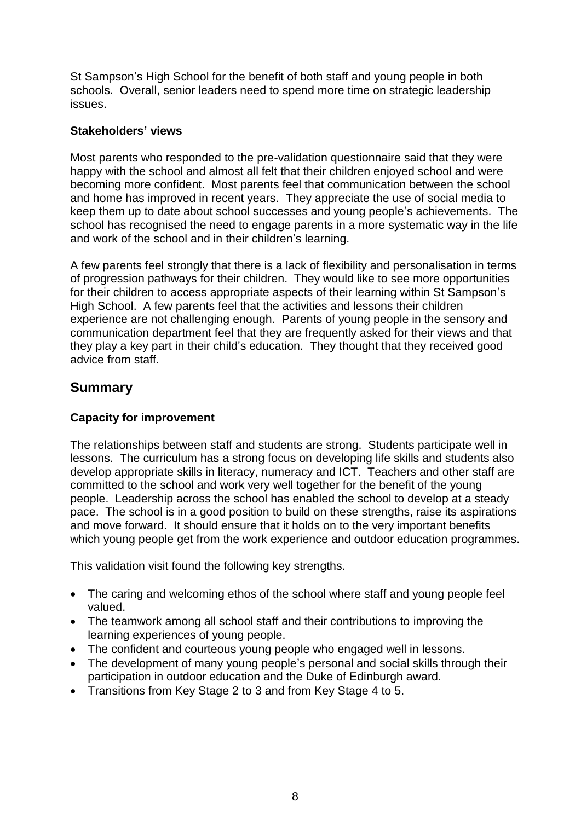St Sampson's High School for the benefit of both staff and young people in both schools. Overall, senior leaders need to spend more time on strategic leadership issues.

### **Stakeholders' views**

Most parents who responded to the pre-validation questionnaire said that they were happy with the school and almost all felt that their children enjoyed school and were becoming more confident. Most parents feel that communication between the school and home has improved in recent years. They appreciate the use of social media to keep them up to date about school successes and young people's achievements. The school has recognised the need to engage parents in a more systematic way in the life and work of the school and in their children's learning.

A few parents feel strongly that there is a lack of flexibility and personalisation in terms of progression pathways for their children. They would like to see more opportunities for their children to access appropriate aspects of their learning within St Sampson's High School. A few parents feel that the activities and lessons their children experience are not challenging enough. Parents of young people in the sensory and communication department feel that they are frequently asked for their views and that they play a key part in their child's education. They thought that they received good advice from staff.

### **Summary**

### **Capacity for improvement**

The relationships between staff and students are strong. Students participate well in lessons. The curriculum has a strong focus on developing life skills and students also develop appropriate skills in literacy, numeracy and ICT. Teachers and other staff are committed to the school and work very well together for the benefit of the young people. Leadership across the school has enabled the school to develop at a steady pace. The school is in a good position to build on these strengths, raise its aspirations and move forward. It should ensure that it holds on to the very important benefits which young people get from the work experience and outdoor education programmes.

This validation visit found the following key strengths.

- The caring and welcoming ethos of the school where staff and young people feel valued.
- The teamwork among all school staff and their contributions to improving the learning experiences of young people.
- The confident and courteous young people who engaged well in lessons.
- The development of many young people's personal and social skills through their participation in outdoor education and the Duke of Edinburgh award.
- Transitions from Key Stage 2 to 3 and from Key Stage 4 to 5.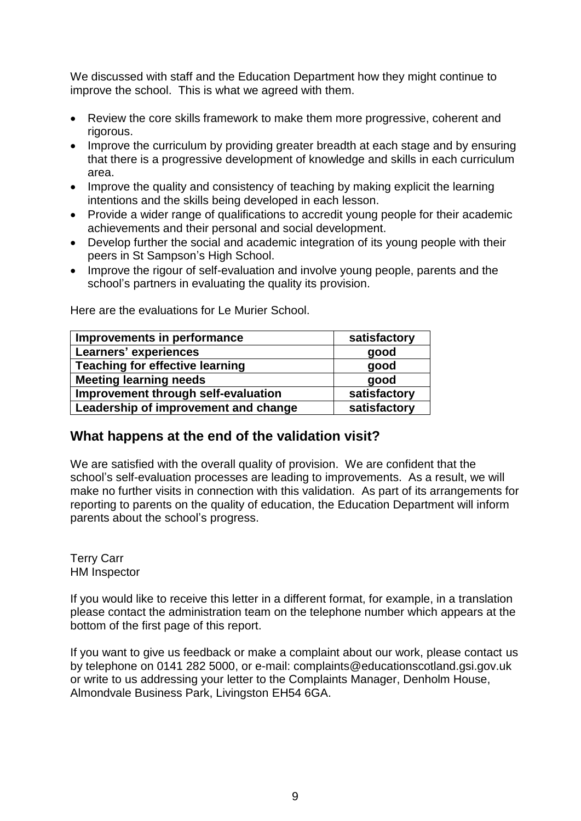We discussed with staff and the Education Department how they might continue to improve the school. This is what we agreed with them.

- Review the core skills framework to make them more progressive, coherent and rigorous.
- Improve the curriculum by providing greater breadth at each stage and by ensuring that there is a progressive development of knowledge and skills in each curriculum area.
- Improve the quality and consistency of teaching by making explicit the learning intentions and the skills being developed in each lesson.
- Provide a wider range of qualifications to accredit young people for their academic achievements and their personal and social development.
- Develop further the social and academic integration of its young people with their peers in St Sampson's High School.
- Improve the rigour of self-evaluation and involve young people, parents and the school's partners in evaluating the quality its provision.

| Improvements in performance            | satisfactory |
|----------------------------------------|--------------|
| Learners' experiences                  | good         |
| <b>Teaching for effective learning</b> | good         |
| <b>Meeting learning needs</b>          | good         |
| Improvement through self-evaluation    | satisfactory |
| Leadership of improvement and change   | satisfactory |

Here are the evaluations for Le Murier School.

## **What happens at the end of the validation visit?**

We are satisfied with the overall quality of provision. We are confident that the school's self-evaluation processes are leading to improvements. As a result, we will make no further visits in connection with this validation. As part of its arrangements for reporting to parents on the quality of education, the Education Department will inform parents about the school's progress.

Terry Carr HM Inspector

If you would like to receive this letter in a different format, for example, in a translation please contact the administration team on the telephone number which appears at the bottom of the first page of this report.

If you want to give us feedback or make a complaint about our work, please contact us by telephone on 0141 282 5000, or e-mail: complaints@educationscotland.gsi.gov.uk or write to us addressing your letter to the Complaints Manager, Denholm House, Almondvale Business Park, Livingston EH54 6GA.